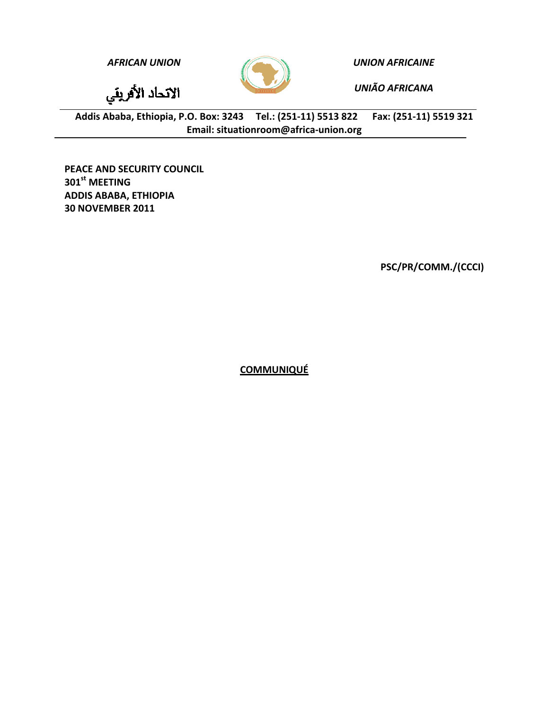

*AFRICAN UNION UNION AFRICAINE*

*UNIÃO AFRICANA*

الاتحاد الأفريقي

Addis Ababa, Ethiopia, P.O. Box: 3243 Tel.: (251-11) 5513 822 Fax: (251-11) 5519 321 **Email: situationroom@africa‐union.org**

**PEACE AND SECURITY COUNCIL 301st MEETING ADDIS ABABA, ETHIOPIA 30 NOVEMBER 2011**

**PSC/PR/COMM./(CCCI)**

**COMMUNIQUÉ**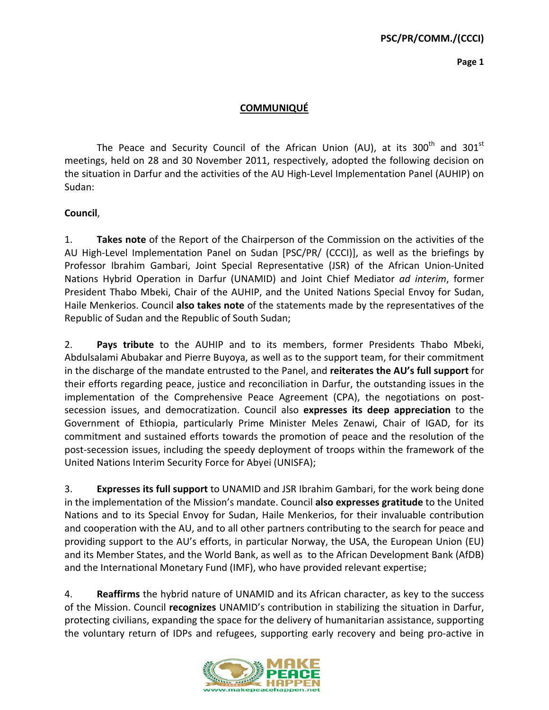**Page 1**

## **COMMUNIQUÉ**

The Peace and Security Council of the African Union (AU), at its  $300<sup>th</sup>$  and  $301<sup>st</sup>$ meetings, held on 28 and 30 November 2011, respectively, adopted the following decision on the situation in Darfur and the activities of the AU High‐Level Implementation Panel (AUHIP) on Sudan:

## **Council**,

1. **Takes note** of the Report of the Chairperson of the Commission on the activities of the AU High‐Level Implementation Panel on Sudan [PSC/PR/ (CCCI)], as well as the briefings by Professor Ibrahim Gambari, Joint Special Representative (JSR) of the African Union‐United Nations Hybrid Operation in Darfur (UNAMID) and Joint Chief Mediator *ad interim*, former President Thabo Mbeki, Chair of the AUHIP, and the United Nations Special Envoy for Sudan, Haile Menkerios. Council **also takes note** of the statements made by the representatives of the Republic of Sudan and the Republic of South Sudan;

2. **Pays tribute** to the AUHIP and to its members, former Presidents Thabo Mbeki, Abdulsalami Abubakar and Pierre Buyoya, as well as to the support team, for their commitment in the discharge of the mandate entrusted to the Panel, and **reiterates the AU's full support** for their efforts regarding peace, justice and reconciliation in Darfur, the outstanding issues in the implementation of the Comprehensive Peace Agreement (CPA), the negotiations on postsecession issues, and democratization. Council also **expresses its deep appreciation** to the Government of Ethiopia, particularly Prime Minister Meles Zenawi, Chair of IGAD, for its commitment and sustained efforts towards the promotion of peace and the resolution of the post‐secession issues, including the speedy deployment of troops within the framework of the United Nations Interim Security Force for Abyei (UNISFA);

3. **Expresses its full support** to UNAMID and JSR Ibrahim Gambari, for the work being done in the implementation of the Mission's mandate. Council **also expresses gratitude** to the United Nations and to its Special Envoy for Sudan, Haile Menkerios, for their invaluable contribution and cooperation with the AU, and to all other partners contributing to the search for peace and providing support to the AU's efforts, in particular Norway, the USA, the European Union (EU) and its Member States, and the World Bank, as well as to the African Development Bank (AfDB) and the International Monetary Fund (IMF), who have provided relevant expertise;

4. **Reaffirms** the hybrid nature of UNAMID and its African character, as key to the success of the Mission. Council **recognizes** UNAMID's contribution in stabilizing the situation in Darfur, protecting civilians, expanding the space for the delivery of humanitarian assistance, supporting the voluntary return of IDPs and refugees, supporting early recovery and being pro‐active in

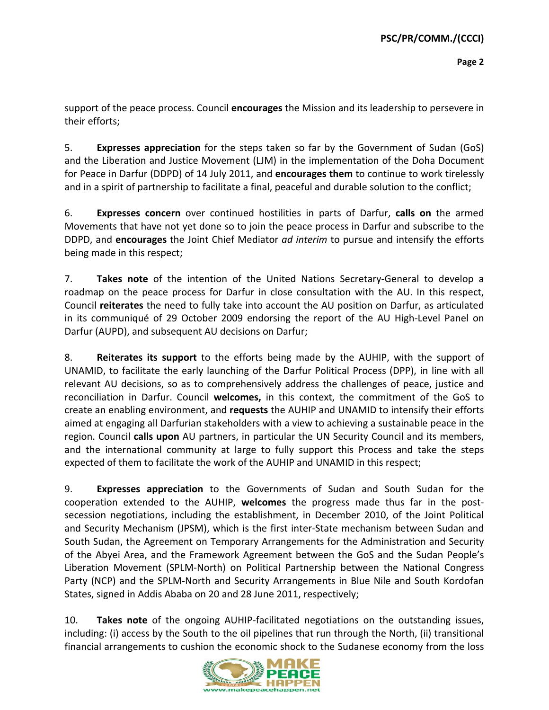support of the peace process. Council **encourages** the Mission and its leadership to persevere in their efforts;

5. **Expresses appreciation** for the steps taken so far by the Government of Sudan (GoS) and the Liberation and Justice Movement (LJM) in the implementation of the Doha Document for Peace in Darfur (DDPD) of 14 July 2011, and **encourages them** to continue to work tirelessly and in a spirit of partnership to facilitate a final, peaceful and durable solution to the conflict;

6. **Expresses concern** over continued hostilities in parts of Darfur, **calls on** the armed Movements that have not yet done so to join the peace process in Darfur and subscribe to the DDPD, and **encourages** the Joint Chief Mediator *ad interim* to pursue and intensify the efforts being made in this respect;

7. **Takes note** of the intention of the United Nations Secretary‐General to develop a roadmap on the peace process for Darfur in close consultation with the AU. In this respect, Council **reiterates** the need to fully take into account the AU position on Darfur, as articulated in its communiqué of 29 October 2009 endorsing the report of the AU High‐Level Panel on Darfur (AUPD), and subsequent AU decisions on Darfur;

8. **Reiterates its support** to the efforts being made by the AUHIP, with the support of UNAMID, to facilitate the early launching of the Darfur Political Process (DPP), in line with all relevant AU decisions, so as to comprehensively address the challenges of peace, justice and reconciliation in Darfur. Council **welcomes,** in this context, the commitment of the GoS to create an enabling environment, and **requests** the AUHIP and UNAMID to intensify their efforts aimed at engaging all Darfurian stakeholders with a view to achieving a sustainable peace in the region. Council **calls upon** AU partners, in particular the UN Security Council and its members, and the international community at large to fully support this Process and take the steps expected of them to facilitate the work of the AUHIP and UNAMID in this respect;

9. **Expresses appreciation** to the Governments of Sudan and South Sudan for the cooperation extended to the AUHIP, **welcomes** the progress made thus far in the post‐ secession negotiations, including the establishment, in December 2010, of the Joint Political and Security Mechanism (JPSM), which is the first inter‐State mechanism between Sudan and South Sudan, the Agreement on Temporary Arrangements for the Administration and Security of the Abyei Area, and the Framework Agreement between the GoS and the Sudan People's Liberation Movement (SPLM‐North) on Political Partnership between the National Congress Party (NCP) and the SPLM‐North and Security Arrangements in Blue Nile and South Kordofan States, signed in Addis Ababa on 20 and 28 June 2011, respectively;

10. **Takes note** of the ongoing AUHIP‐facilitated negotiations on the outstanding issues, including: (i) access by the South to the oil pipelines that run through the North, (ii) transitional financial arrangements to cushion the economic shock to the Sudanese economy from the loss

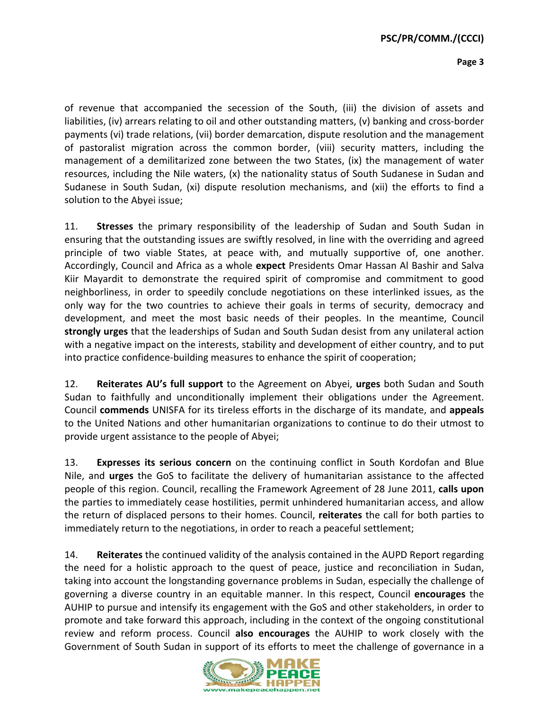**Page 3**

of revenue that accompanied the secession of the South, (iii) the division of assets and liabilities, (iv) arrears relating to oil and other outstanding matters, (v) banking and cross‐border payments (vi) trade relations, (vii) border demarcation, dispute resolution and the management of pastoralist migration across the common border, (viii) security matters, including the management of a demilitarized zone between the two States, (ix) the management of water resources, including the Nile waters, (x) the nationality status of South Sudanese in Sudan and Sudanese in South Sudan, (xi) dispute resolution mechanisms, and (xii) the efforts to find a solution to the Abyei issue;

11. **Stresses** the primary responsibility of the leadership of Sudan and South Sudan in ensuring that the outstanding issues are swiftly resolved, in line with the overriding and agreed principle of two viable States, at peace with, and mutually supportive of, one another. Accordingly, Council and Africa as a whole **expect** Presidents Omar Hassan Al Bashir and Salva Kiir Mayardit to demonstrate the required spirit of compromise and commitment to good neighborliness, in order to speedily conclude negotiations on these interlinked issues, as the only way for the two countries to achieve their goals in terms of security, democracy and development, and meet the most basic needs of their peoples. In the meantime, Council **strongly urges** that the leaderships of Sudan and South Sudan desist from any unilateral action with a negative impact on the interests, stability and development of either country, and to put into practice confidence‐building measures to enhance the spirit of cooperation;

12. **Reiterates AU's full support** to the Agreement on Abyei, **urges** both Sudan and South Sudan to faithfully and unconditionally implement their obligations under the Agreement. Council **commends** UNISFA for its tireless efforts in the discharge of its mandate, and **appeals** to the United Nations and other humanitarian organizations to continue to do their utmost to provide urgent assistance to the people of Abyei;

13. **Expresses its serious concern** on the continuing conflict in South Kordofan and Blue Nile, and **urges** the GoS to facilitate the delivery of humanitarian assistance to the affected people of this region. Council, recalling the Framework Agreement of 28 June 2011, **calls upon** the parties to immediately cease hostilities, permit unhindered humanitarian access, and allow the return of displaced persons to their homes. Council, **reiterates** the call for both parties to immediately return to the negotiations, in order to reach a peaceful settlement;

14. **Reiterates** the continued validity of the analysis contained in the AUPD Report regarding the need for a holistic approach to the quest of peace, justice and reconciliation in Sudan, taking into account the longstanding governance problems in Sudan, especially the challenge of governing a diverse country in an equitable manner. In this respect, Council **encourages** the AUHIP to pursue and intensify its engagement with the GoS and other stakeholders, in order to promote and take forward this approach, including in the context of the ongoing constitutional review and reform process. Council **also encourages** the AUHIP to work closely with the Government of South Sudan in support of its efforts to meet the challenge of governance in a